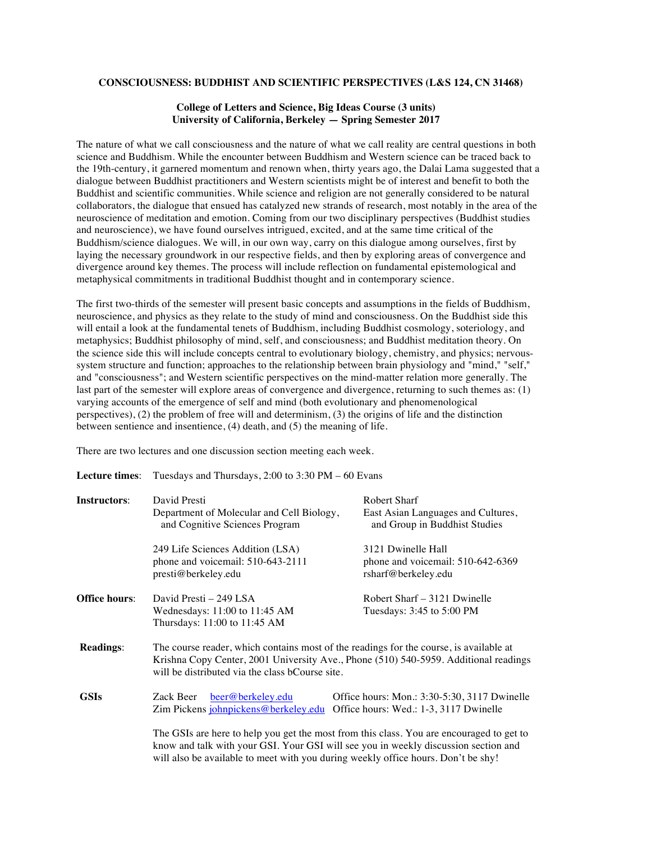### **CONSCIOUSNESS: BUDDHIST AND SCIENTIFIC PERSPECTIVES (L&S 124, CN 31468)**

## **College of Letters and Science, Big Ideas Course (3 units) University of California, Berkeley — Spring Semester 2017**

The nature of what we call consciousness and the nature of what we call reality are central questions in both science and Buddhism. While the encounter between Buddhism and Western science can be traced back to the 19th-century, it garnered momentum and renown when, thirty years ago, the Dalai Lama suggested that a dialogue between Buddhist practitioners and Western scientists might be of interest and benefit to both the Buddhist and scientific communities. While science and religion are not generally considered to be natural collaborators, the dialogue that ensued has catalyzed new strands of research, most notably in the area of the neuroscience of meditation and emotion. Coming from our two disciplinary perspectives (Buddhist studies and neuroscience), we have found ourselves intrigued, excited, and at the same time critical of the Buddhism/science dialogues. We will, in our own way, carry on this dialogue among ourselves, first by laying the necessary groundwork in our respective fields, and then by exploring areas of convergence and divergence around key themes. The process will include reflection on fundamental epistemological and metaphysical commitments in traditional Buddhist thought and in contemporary science.

The first two-thirds of the semester will present basic concepts and assumptions in the fields of Buddhism, neuroscience, and physics as they relate to the study of mind and consciousness. On the Buddhist side this will entail a look at the fundamental tenets of Buddhism, including Buddhist cosmology, soteriology, and metaphysics; Buddhist philosophy of mind, self, and consciousness; and Buddhist meditation theory. On the science side this will include concepts central to evolutionary biology, chemistry, and physics; nervoussystem structure and function; approaches to the relationship between brain physiology and "mind," "self," and "consciousness"; and Western scientific perspectives on the mind-matter relation more generally. The last part of the semester will explore areas of convergence and divergence, returning to such themes as: (1) varying accounts of the emergence of self and mind (both evolutionary and phenomenological perspectives), (2) the problem of free will and determinism, (3) the origins of life and the distinction between sentience and insentience, (4) death, and (5) the meaning of life.

There are two lectures and one discussion section meeting each week.

| <b>Lecture times:</b> | Tuesdays and Thursdays, 2:00 to 3:30 PM $-60$ Evans                                                                                                                                                                                                                  |                                                                                        |
|-----------------------|----------------------------------------------------------------------------------------------------------------------------------------------------------------------------------------------------------------------------------------------------------------------|----------------------------------------------------------------------------------------|
| <b>Instructors:</b>   | David Presti<br>Department of Molecular and Cell Biology,<br>and Cognitive Sciences Program                                                                                                                                                                          | Robert Sharf<br>East Asian Languages and Cultures,<br>and Group in Buddhist Studies    |
|                       | 249 Life Sciences Addition (LSA)<br>phone and voicemail: 510-643-2111<br>presti@berkeley.edu                                                                                                                                                                         | 3121 Dwinelle Hall<br>phone and voicemail: 510-642-6369<br>rsharf@berkeley.edu         |
| <b>Office hours:</b>  | David Presti $-249$ LSA<br>Wednesdays: 11:00 to 11:45 AM<br>Thursdays: 11:00 to 11:45 AM                                                                                                                                                                             | Robert Sharf – 3121 Dwinelle<br>Tuesdays: 3:45 to 5:00 PM                              |
| <b>Readings:</b>      | The course reader, which contains most of the readings for the course, is available at<br>Krishna Copy Center, 2001 University Ave., Phone (510) 540-5959. Additional readings<br>will be distributed via the class bCourse site.                                    |                                                                                        |
| <b>GSIs</b>           | beer@berkeley.edu<br>Zack Beer<br>Zim Pickens johnpickens@berkeley.edu                                                                                                                                                                                               | Office hours: Mon.: 3:30-5:30, 3117 Dwinelle<br>Office hours: Wed.: 1-3, 3117 Dwinelle |
|                       | The GSIs are here to help you get the most from this class. You are encouraged to get to<br>know and talk with your GSI. Your GSI will see you in weekly discussion section and<br>will also be available to meet with you during weekly office hours. Don't be shy! |                                                                                        |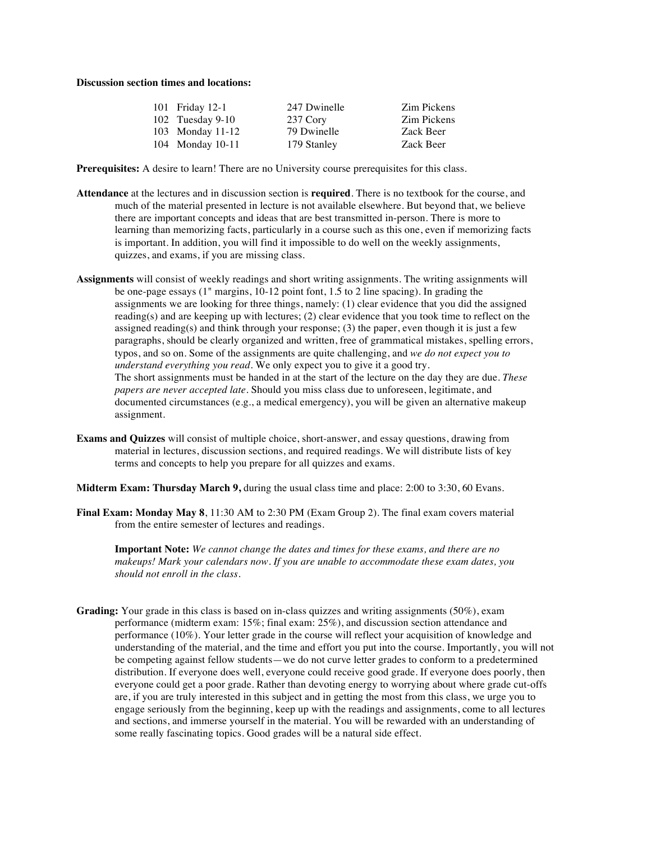## **Discussion section times and locations:**

| 101 Friday 12-1    | 247 Dwinelle | Zim Pickens |
|--------------------|--------------|-------------|
| $102$ Tuesday 9-10 | 237 Cory     | Zim Pickens |
| 103 Monday 11-12   | 79 Dwinelle  | Zack Beer   |
| 104 Monday 10-11   | 179 Stanley  | Zack Beer   |

**Prerequisites:** A desire to learn! There are no University course prerequisites for this class.

- **Attendance** at the lectures and in discussion section is **required**. There is no textbook for the course, and much of the material presented in lecture is not available elsewhere. But beyond that, we believe there are important concepts and ideas that are best transmitted in-person. There is more to learning than memorizing facts, particularly in a course such as this one, even if memorizing facts is important. In addition, you will find it impossible to do well on the weekly assignments, quizzes, and exams, if you are missing class.
- **Assignments** will consist of weekly readings and short writing assignments. The writing assignments will be one-page essays (1" margins, 10-12 point font, 1.5 to 2 line spacing). In grading the assignments we are looking for three things, namely: (1) clear evidence that you did the assigned reading(s) and are keeping up with lectures; (2) clear evidence that you took time to reflect on the assigned reading(s) and think through your response;  $(3)$  the paper, even though it is just a few paragraphs, should be clearly organized and written, free of grammatical mistakes, spelling errors, typos, and so on. Some of the assignments are quite challenging, and *we do not expect you to understand everything you read*. We only expect you to give it a good try. The short assignments must be handed in at the start of the lecture on the day they are due. *These papers are never accepted late*. Should you miss class due to unforeseen, legitimate, and documented circumstances (e.g., a medical emergency), you will be given an alternative makeup assignment.
- **Exams and Quizzes** will consist of multiple choice, short-answer, and essay questions, drawing from material in lectures, discussion sections, and required readings. We will distribute lists of key terms and concepts to help you prepare for all quizzes and exams.
- **Midterm Exam: Thursday March 9,** during the usual class time and place: 2:00 to 3:30, 60 Evans.
- **Final Exam: Monday May 8**, 11:30 AM to 2:30 PM (Exam Group 2). The final exam covers material from the entire semester of lectures and readings.

**Important Note:** *We cannot change the dates and times for these exams, and there are no makeups! Mark your calendars now. If you are unable to accommodate these exam dates, you should not enroll in the class.*

**Grading:** Your grade in this class is based on in-class quizzes and writing assignments (50%), exam performance (midterm exam: 15%; final exam: 25%), and discussion section attendance and performance (10%). Your letter grade in the course will reflect your acquisition of knowledge and understanding of the material, and the time and effort you put into the course. Importantly, you will not be competing against fellow students—we do not curve letter grades to conform to a predetermined distribution. If everyone does well, everyone could receive good grade. If everyone does poorly, then everyone could get a poor grade. Rather than devoting energy to worrying about where grade cut-offs are, if you are truly interested in this subject and in getting the most from this class, we urge you to engage seriously from the beginning, keep up with the readings and assignments, come to all lectures and sections, and immerse yourself in the material. You will be rewarded with an understanding of some really fascinating topics. Good grades will be a natural side effect.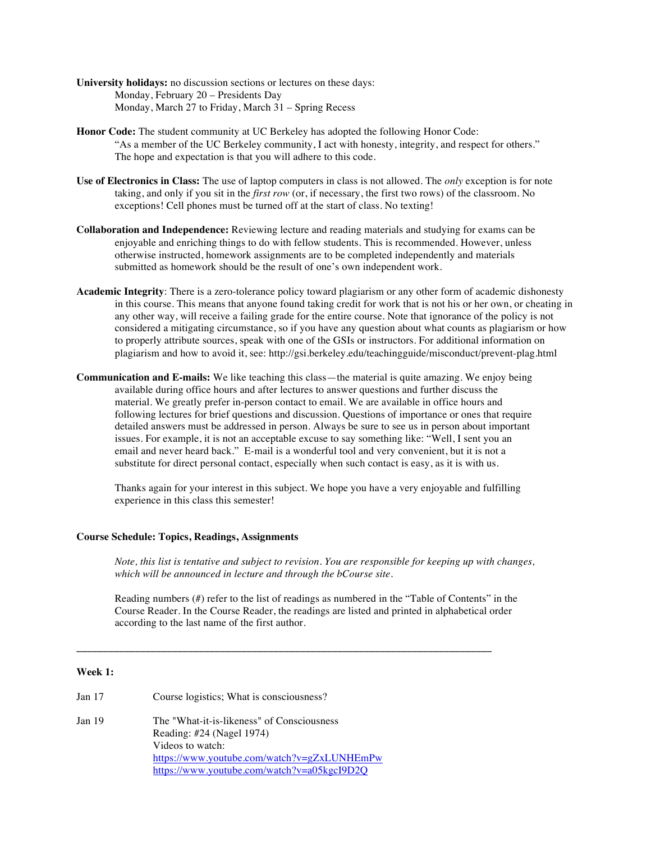- **University holidays:** no discussion sections or lectures on these days: Monday, February 20 – Presidents Day Monday, March 27 to Friday, March 31 – Spring Recess
- **Honor Code:** The student community at UC Berkeley has adopted the following Honor Code: "As a member of the UC Berkeley community, I act with honesty, integrity, and respect for others." The hope and expectation is that you will adhere to this code.
- **Use of Electronics in Class:** The use of laptop computers in class is not allowed. The *only* exception is for note taking, and only if you sit in the *first row* (or, if necessary, the first two rows) of the classroom. No exceptions! Cell phones must be turned off at the start of class. No texting!
- **Collaboration and Independence:** Reviewing lecture and reading materials and studying for exams can be enjoyable and enriching things to do with fellow students. This is recommended. However, unless otherwise instructed, homework assignments are to be completed independently and materials submitted as homework should be the result of one's own independent work.
- **Academic Integrity**: There is a zero-tolerance policy toward plagiarism or any other form of academic dishonesty in this course. This means that anyone found taking credit for work that is not his or her own, or cheating in any other way, will receive a failing grade for the entire course. Note that ignorance of the policy is not considered a mitigating circumstance, so if you have any question about what counts as plagiarism or how to properly attribute sources, speak with one of the GSIs or instructors. For additional information on plagiarism and how to avoid it, see: http://gsi.berkeley.edu/teachingguide/misconduct/prevent-plag.html
- **Communication and E-mails:** We like teaching this class—the material is quite amazing. We enjoy being available during office hours and after lectures to answer questions and further discuss the material. We greatly prefer in-person contact to email. We are available in office hours and following lectures for brief questions and discussion. Questions of importance or ones that require detailed answers must be addressed in person. Always be sure to see us in person about important issues. For example, it is not an acceptable excuse to say something like: "Well, I sent you an email and never heard back." E-mail is a wonderful tool and very convenient, but it is not a substitute for direct personal contact, especially when such contact is easy, as it is with us.

Thanks again for your interest in this subject. We hope you have a very enjoyable and fulfilling experience in this class this semester!

# **Course Schedule: Topics, Readings, Assignments**

*Note, this list is tentative and subject to revision. You are responsible for keeping up with changes, which will be announced in lecture and through the bCourse site.*

Reading numbers (#) refer to the list of readings as numbered in the "Table of Contents" in the Course Reader. In the Course Reader, the readings are listed and printed in alphabetical order according to the last name of the first author.

**\_\_\_\_\_\_\_\_\_\_\_\_\_\_\_\_\_\_\_\_\_\_\_\_\_\_\_\_\_\_\_\_\_\_\_\_\_\_\_\_\_\_\_\_\_\_\_\_\_\_\_\_\_\_\_\_\_\_\_\_\_\_\_\_\_\_\_\_\_\_\_\_\_\_\_\_\_\_**

# **Week 1:**

Jan 17 Course logistics; What is consciousness? Jan 19 The "What-it-is-likeness" of Consciousness Reading: #24 (Nagel 1974) Videos to watch: https://www.youtube.com/watch?v=gZxLUNHEmPw https://www.youtube.com/watch?v=a05kgcI9D2Q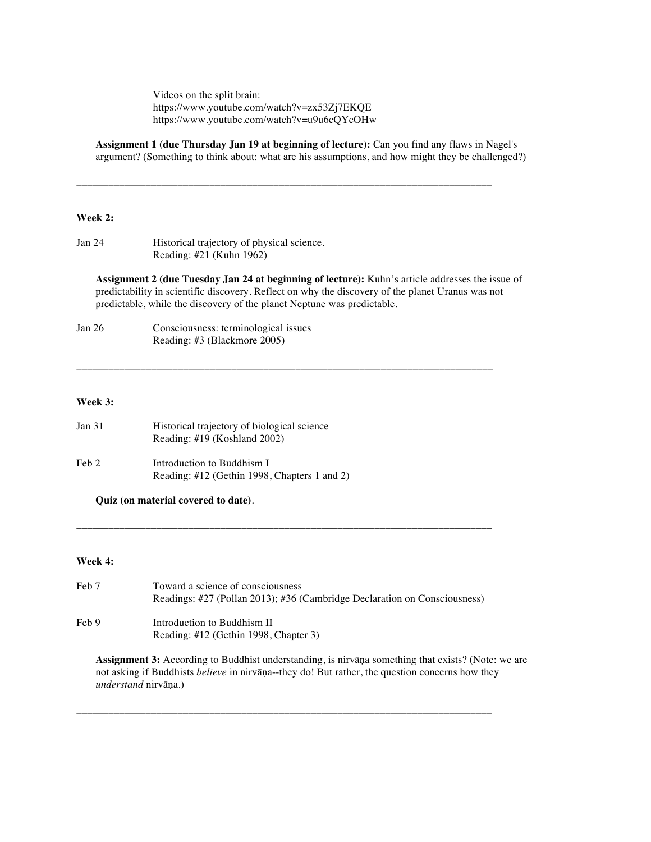Videos on the split brain: https://www.youtube.com/watch?v=zx53Zj7EKQE https://www.youtube.com/watch?v=u9u6cQYcOHw

**Assignment 1 (due Thursday Jan 19 at beginning of lecture):** Can you find any flaws in Nagel's argument? (Something to think about: what are his assumptions, and how might they be challenged?)

**\_\_\_\_\_\_\_\_\_\_\_\_\_\_\_\_\_\_\_\_\_\_\_\_\_\_\_\_\_\_\_\_\_\_\_\_\_\_\_\_\_\_\_\_\_\_\_\_\_\_\_\_\_\_\_\_\_\_\_\_\_\_\_\_\_\_\_\_\_\_\_\_\_\_\_\_\_\_**

\_\_\_\_\_\_\_\_\_\_\_\_\_\_\_\_\_\_\_\_\_\_\_\_\_\_\_\_\_\_\_\_\_\_\_\_\_\_\_\_\_\_\_\_\_\_\_\_\_\_\_\_\_\_\_\_\_\_\_\_\_\_\_\_\_\_\_\_\_\_\_\_\_\_\_\_\_\_

# **Week 2:**

| Jan 24 | Historical trajectory of physical science. |
|--------|--------------------------------------------|
|        | Reading: $\#21$ (Kuhn 1962)                |

**Assignment 2 (due Tuesday Jan 24 at beginning of lecture):** Kuhn's article addresses the issue of predictability in scientific discovery. Reflect on why the discovery of the planet Uranus was not predictable, while the discovery of the planet Neptune was predictable.

| Jan $26$ | Consciousness: terminological issues |
|----------|--------------------------------------|
|          | Reading: #3 (Blackmore 2005)         |

#### **Week 3:**

| Jan 31 | Historical trajectory of biological science<br>Reading: $\#19$ (Koshland 2002) |
|--------|--------------------------------------------------------------------------------|
| Feb 2  | Introduction to Buddhism I<br>Reading: #12 (Gethin 1998, Chapters 1 and 2)     |

**Quiz (on material covered to date)**.

### **Week 4:**

Feb 7 Toward a science of consciousness Readings: #27 (Pollan 2013); #36 (Cambridge Declaration on Consciousness) Feb 9 Introduction to Buddhism II Reading: #12 (Gethin 1998, Chapter 3)

**\_\_\_\_\_\_\_\_\_\_\_\_\_\_\_\_\_\_\_\_\_\_\_\_\_\_\_\_\_\_\_\_\_\_\_\_\_\_\_\_\_\_\_\_\_\_\_\_\_\_\_\_\_\_\_\_\_\_\_\_\_\_\_\_\_\_\_\_\_\_\_\_\_\_\_\_\_\_**

**\_\_\_\_\_\_\_\_\_\_\_\_\_\_\_\_\_\_\_\_\_\_\_\_\_\_\_\_\_\_\_\_\_\_\_\_\_\_\_\_\_\_\_\_\_\_\_\_\_\_\_\_\_\_\_\_\_\_\_\_\_\_\_\_\_\_\_\_\_\_\_\_\_\_\_\_\_\_**

**Assignment 3:** According to Buddhist understanding, is nirvāṇa something that exists? (Note: we are not asking if Buddhists *believe* in nirvāṇa--they do! But rather, the question concerns how they *understand* nirvāṇa.)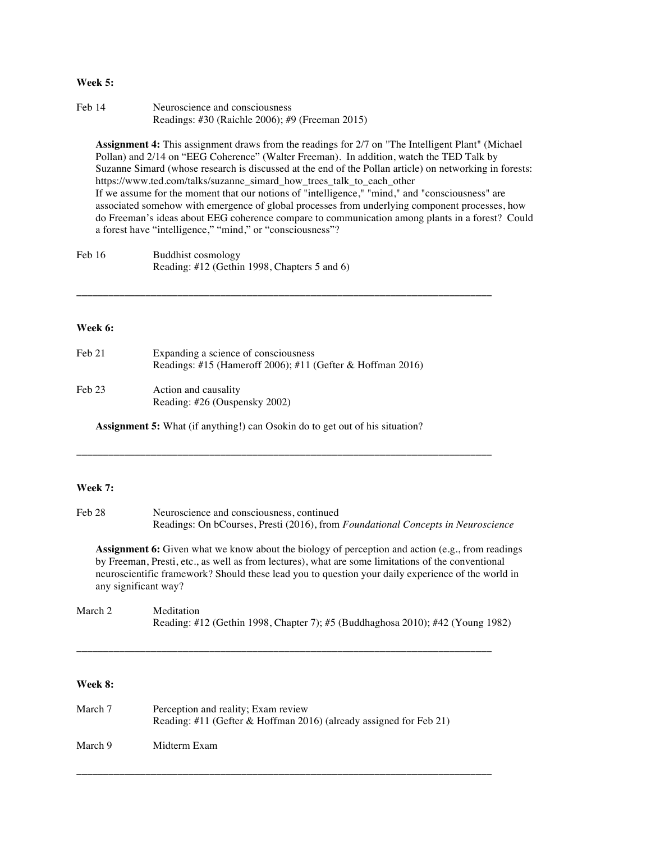#### **Week 5:**

| Feb 14 | Neuroscience and consciousness                  |
|--------|-------------------------------------------------|
|        | Readings: #30 (Raichle 2006); #9 (Freeman 2015) |

**Assignment 4:** This assignment draws from the readings for 2/7 on "The Intelligent Plant" (Michael Pollan) and 2/14 on "EEG Coherence" (Walter Freeman). In addition, watch the TED Talk by Suzanne Simard (whose research is discussed at the end of the Pollan article) on networking in forests: https://www.ted.com/talks/suzanne\_simard\_how\_trees\_talk\_to\_each\_other If we assume for the moment that our notions of "intelligence," "mind," and "consciousness" are associated somehow with emergence of global processes from underlying component processes, how do Freeman's ideas about EEG coherence compare to communication among plants in a forest? Could a forest have "intelligence," "mind," or "consciousness"?

| Feb 16 | Buddhist cosmology                           |
|--------|----------------------------------------------|
|        | Reading: #12 (Gethin 1998, Chapters 5 and 6) |

### **Week 6:**

| Feb 21 | Expanding a science of consciousness<br>Readings: #15 (Hameroff 2006); #11 (Gefter & Hoffman 2016) |  |
|--------|----------------------------------------------------------------------------------------------------|--|
| Feb 23 | Action and causality                                                                               |  |

**\_\_\_\_\_\_\_\_\_\_\_\_\_\_\_\_\_\_\_\_\_\_\_\_\_\_\_\_\_\_\_\_\_\_\_\_\_\_\_\_\_\_\_\_\_\_\_\_\_\_\_\_\_\_\_\_\_\_\_\_\_\_\_\_\_\_\_\_\_\_\_\_\_\_\_\_\_\_**

Reading: #26 (Ouspensky 2002)

**Assignment 5:** What (if anything!) can Osokin do to get out of his situation?

#### **Week 7:**

Feb 28 Neuroscience and consciousness, continued Readings: On bCourses, Presti (2016), from *Foundational Concepts in Neuroscience*

**\_\_\_\_\_\_\_\_\_\_\_\_\_\_\_\_\_\_\_\_\_\_\_\_\_\_\_\_\_\_\_\_\_\_\_\_\_\_\_\_\_\_\_\_\_\_\_\_\_\_\_\_\_\_\_\_\_\_\_\_\_\_\_\_\_\_\_\_\_\_\_\_\_\_\_\_\_\_**

**Assignment 6:** Given what we know about the biology of perception and action (e.g., from readings by Freeman, Presti, etc., as well as from lectures), what are some limitations of the conventional neuroscientific framework? Should these lead you to question your daily experience of the world in any significant way?

March 2 Meditation Reading: #12 (Gethin 1998, Chapter 7); #5 (Buddhaghosa 2010); #42 (Young 1982)

**\_\_\_\_\_\_\_\_\_\_\_\_\_\_\_\_\_\_\_\_\_\_\_\_\_\_\_\_\_\_\_\_\_\_\_\_\_\_\_\_\_\_\_\_\_\_\_\_\_\_\_\_\_\_\_\_\_\_\_\_\_\_\_\_\_\_\_\_\_\_\_\_\_\_\_\_\_\_**

**\_\_\_\_\_\_\_\_\_\_\_\_\_\_\_\_\_\_\_\_\_\_\_\_\_\_\_\_\_\_\_\_\_\_\_\_\_\_\_\_\_\_\_\_\_\_\_\_\_\_\_\_\_\_\_\_\_\_\_\_\_\_\_\_\_\_\_\_\_\_\_\_\_\_\_\_\_\_**

# **Week 8:**

| March 7 | Perception and reality; Exam review<br>Reading: #11 (Gefter & Hoffman 2016) (already assigned for Feb 21) |
|---------|-----------------------------------------------------------------------------------------------------------|
| March 9 | Midterm Exam                                                                                              |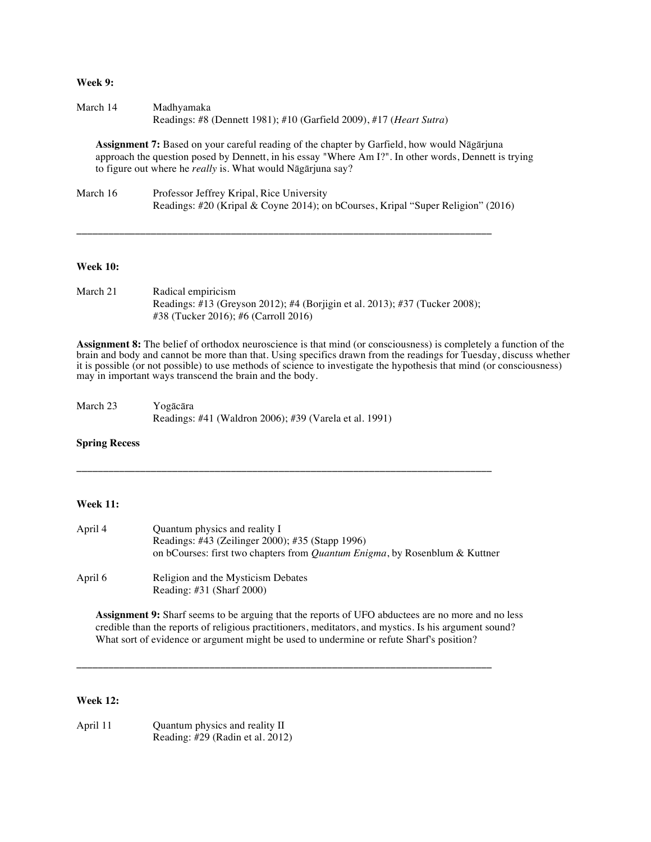# **Week 9:**

| March 14 | Madhvamaka                                                          |
|----------|---------------------------------------------------------------------|
|          | Readings: #8 (Dennett 1981); #10 (Garfield 2009), #17 (Heart Sutra) |

**Assignment 7:** Based on your careful reading of the chapter by Garfield, how would Nāgārjuna approach the question posed by Dennett, in his essay "Where Am I?". In other words, Dennett is trying to figure out where he *really* is. What would Nāgārjuna say?

| March 16 | Professor Jeffrey Kripal, Rice University                                        |
|----------|----------------------------------------------------------------------------------|
|          | Readings: #20 (Kripal & Coyne 2014); on bCourses, Kripal "Super Religion" (2016) |

**\_\_\_\_\_\_\_\_\_\_\_\_\_\_\_\_\_\_\_\_\_\_\_\_\_\_\_\_\_\_\_\_\_\_\_\_\_\_\_\_\_\_\_\_\_\_\_\_\_\_\_\_\_\_\_\_\_\_\_\_\_\_\_\_\_\_\_\_\_\_\_\_\_\_\_\_\_\_**

#### **Week 10:**

| March 21 | Radical empiricism                                                          |
|----------|-----------------------------------------------------------------------------|
|          | Readings: #13 (Greyson 2012); #4 (Borjigin et al. 2013); #37 (Tucker 2008); |
|          | $\#38$ (Tucker 2016): #6 (Carroll 2016)                                     |

**Assignment 8:** The belief of orthodox neuroscience is that mind (or consciousness) is completely a function of the brain and body and cannot be more than that. Using specifics drawn from the readings for Tuesday, discuss whether it is possible (or not possible) to use methods of science to investigate the hypothesis that mind (or consciousness) may in important ways transcend the brain and the body.

| March 23 | Yogācāra                                               |
|----------|--------------------------------------------------------|
|          | Readings: #41 (Waldron 2006); #39 (Varela et al. 1991) |

#### **Spring Recess**

## **Week 11:**

| April 4 | Quantum physics and reality I<br>Readings: #43 (Zeilinger 2000); #35 (Stapp 1996)<br>on bCourses: first two chapters from <i>Quantum Enigma</i> , by Rosenblum & Kuttner |
|---------|--------------------------------------------------------------------------------------------------------------------------------------------------------------------------|
| April 6 | Religion and the Mysticism Debates<br>Reading: $\#31$ (Sharf 2000)                                                                                                       |

**\_\_\_\_\_\_\_\_\_\_\_\_\_\_\_\_\_\_\_\_\_\_\_\_\_\_\_\_\_\_\_\_\_\_\_\_\_\_\_\_\_\_\_\_\_\_\_\_\_\_\_\_\_\_\_\_\_\_\_\_\_\_\_\_\_\_\_\_\_\_\_\_\_\_\_\_\_\_**

**\_\_\_\_\_\_\_\_\_\_\_\_\_\_\_\_\_\_\_\_\_\_\_\_\_\_\_\_\_\_\_\_\_\_\_\_\_\_\_\_\_\_\_\_\_\_\_\_\_\_\_\_\_\_\_\_\_\_\_\_\_\_\_\_\_\_\_\_\_\_\_\_\_\_\_\_\_\_**

**Assignment 9:** Sharf seems to be arguing that the reports of UFO abductees are no more and no less credible than the reports of religious practitioners, meditators, and mystics. Is his argument sound? What sort of evidence or argument might be used to undermine or refute Sharf's position?

# **Week 12:**

| April 11 | Quantum physics and reality II      |
|----------|-------------------------------------|
|          | Reading: $\#29$ (Radin et al. 2012) |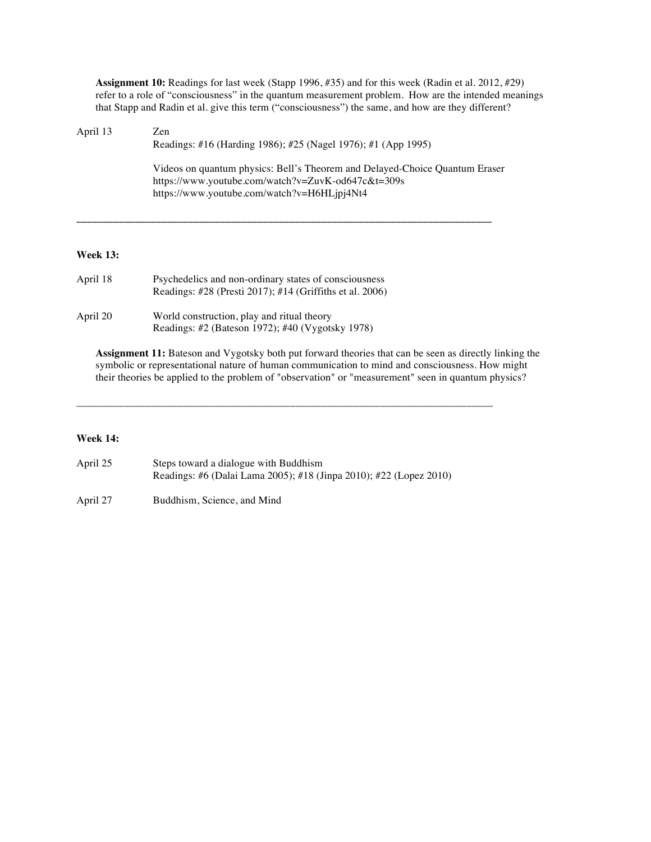**Assignment 10:** Readings for last week (Stapp 1996, #35) and for this week (Radin et al. 2012, #29) refer to a role of "consciousness" in the quantum measurement problem. How are the intended meanings that Stapp and Radin et al. give this term ("consciousness") the same, and how are they different?

| April 13 | Zen<br>Readings: #16 (Harding 1986); #25 (Nagel 1976); #1 (App 1995)                                                                                                             |
|----------|----------------------------------------------------------------------------------------------------------------------------------------------------------------------------------|
|          | Videos on quantum physics: Bell's Theorem and Delayed-Choice Quantum Eraser<br>https://www.youtube.com/watch?v=ZuvK-od647c&t=309s<br>https://www.youtube.com/watch?v=H6HLjpj4Nt4 |

**\_\_\_\_\_\_\_\_\_\_\_\_\_\_\_\_\_\_\_\_\_\_\_\_\_\_\_\_\_\_\_\_\_\_\_\_\_\_\_\_\_\_\_\_\_\_\_\_\_\_\_\_\_\_\_\_\_\_\_\_\_\_\_\_\_\_\_\_\_\_\_\_\_\_\_\_\_\_**

## **Week 13:**

| April 18 | Psychedelics and non-ordinary states of consciousness<br>Readings: #28 (Presti 2017); #14 (Griffiths et al. 2006) |
|----------|-------------------------------------------------------------------------------------------------------------------|
| April 20 | World construction, play and ritual theory<br>Readings: #2 (Bateson 1972); #40 (Vygotsky 1978)                    |

**Assignment 11:** Bateson and Vygotsky both put forward theories that can be seen as directly linking the symbolic or representational nature of human communication to mind and consciousness. How might their theories be applied to the problem of "observation" or "measurement" seen in quantum physics?

# **Week 14:**

| April 25 | Steps toward a dialogue with Buddhism                              |
|----------|--------------------------------------------------------------------|
|          | Readings: #6 (Dalai Lama 2005); #18 (Jinpa 2010); #22 (Lopez 2010) |

\_\_\_\_\_\_\_\_\_\_\_\_\_\_\_\_\_\_\_\_\_\_\_\_\_\_\_\_\_\_\_\_\_\_\_\_\_\_\_\_\_\_\_\_\_\_\_\_\_\_\_\_\_\_\_\_\_\_\_\_\_\_\_\_\_\_\_\_\_\_\_\_\_\_\_\_\_\_

April 27 Buddhism, Science, and Mind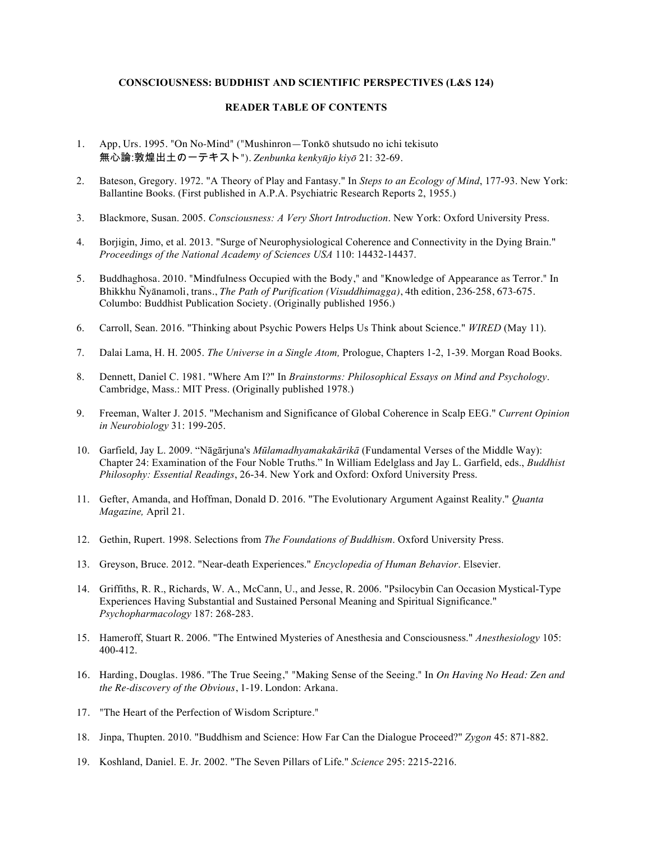# **CONSCIOUSNESS: BUDDHIST AND SCIENTIFIC PERSPECTIVES (L&S 124)**

## **READER TABLE OF CONTENTS**

- 1. App, Urs. 1995. "On No-Mind" ("Mushinron—Tonkō shutsudo no ichi tekisuto 無心論:敦煌出土の一テキスト"). *Zenbunka kenkyūjo kiyō* 21: 32-69.
- 2. Bateson, Gregory. 1972. "A Theory of Play and Fantasy." In *Steps to an Ecology of Mind*, 177-93. New York: Ballantine Books. (First published in A.P.A. Psychiatric Research Reports 2, 1955.)
- 3. Blackmore, Susan. 2005. *Consciousness: A Very Short Introduction*. New York: Oxford University Press.
- 4. Borjigin, Jimo, et al. 2013. "Surge of Neurophysiological Coherence and Connectivity in the Dying Brain." *Proceedings of the National Academy of Sciences USA* 110: 14432-14437.
- 5. Buddhaghosa. 2010. "Mindfulness Occupied with the Body," and "Knowledge of Appearance as Terror." In Bhikkhu Ñyānamoli, trans., *The Path of Purification (Visuddhimagga)*, 4th edition, 236-258, 673-675. Columbo: Buddhist Publication Society. (Originally published 1956.)
- 6. Carroll, Sean. 2016. "Thinking about Psychic Powers Helps Us Think about Science." *WIRED* (May 11).
- 7. Dalai Lama, H. H. 2005. *The Universe in a Single Atom,* Prologue, Chapters 1-2, 1-39. Morgan Road Books.
- 8. Dennett, Daniel C. 1981. "Where Am I?" In *Brainstorms: Philosophical Essays on Mind and Psychology*. Cambridge, Mass.: MIT Press. (Originally published 1978.)
- 9. Freeman, Walter J. 2015. "Mechanism and Significance of Global Coherence in Scalp EEG." *Current Opinion in Neurobiology* 31: 199-205.
- 10. Garfield, Jay L. 2009. "Nāgārjuna's *Mūlamadhyamakakārikā* (Fundamental Verses of the Middle Way): Chapter 24: Examination of the Four Noble Truths." In William Edelglass and Jay L. Garfield, eds., *Buddhist Philosophy: Essential Readings*, 26-34. New York and Oxford: Oxford University Press.
- 11. Gefter, Amanda, and Hoffman, Donald D. 2016. "The Evolutionary Argument Against Reality." *Quanta Magazine,* April 21.
- 12. Gethin, Rupert. 1998. Selections from *The Foundations of Buddhism*. Oxford University Press.
- 13. Greyson, Bruce. 2012. "Near-death Experiences." *Encyclopedia of Human Behavior*. Elsevier.
- 14. Griffiths, R. R., Richards, W. A., McCann, U., and Jesse, R. 2006. "Psilocybin Can Occasion Mystical-Type Experiences Having Substantial and Sustained Personal Meaning and Spiritual Significance." *Psychopharmacology* 187: 268-283.
- 15. Hameroff, Stuart R. 2006. "The Entwined Mysteries of Anesthesia and Consciousness." *Anesthesiology* 105: 400-412.
- 16. Harding, Douglas. 1986. "The True Seeing," "Making Sense of the Seeing." In *On Having No Head: Zen and the Re-discovery of the Obvious*, 1-19. London: Arkana.
- 17. "The Heart of the Perfection of Wisdom Scripture."
- 18. Jinpa, Thupten. 2010. "Buddhism and Science: How Far Can the Dialogue Proceed?" *Zygon* 45: 871-882.
- 19. Koshland, Daniel. E. Jr. 2002. "The Seven Pillars of Life." *Science* 295: 2215-2216.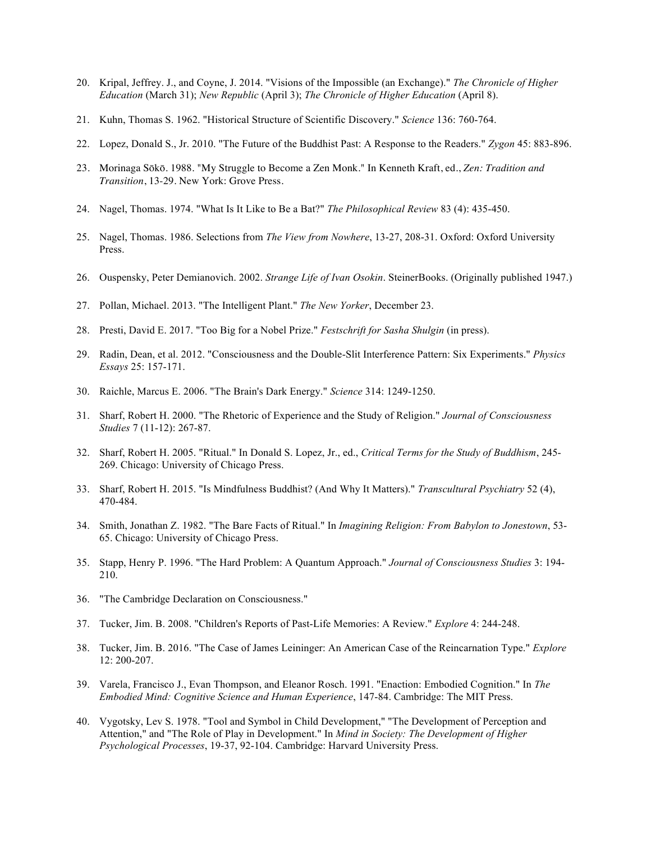- 20. Kripal, Jeffrey. J., and Coyne, J. 2014. "Visions of the Impossible (an Exchange)." *The Chronicle of Higher Education* (March 31); *New Republic* (April 3); *The Chronicle of Higher Education* (April 8).
- 21. Kuhn, Thomas S. 1962. "Historical Structure of Scientific Discovery." *Science* 136: 760-764.
- 22. Lopez, Donald S., Jr. 2010. "The Future of the Buddhist Past: A Response to the Readers." *Zygon* 45: 883-896.
- 23. Morinaga Sōkō. 1988. "My Struggle to Become a Zen Monk." In Kenneth Kraft, ed., *Zen: Tradition and Transition*, 13-29. New York: Grove Press.
- 24. Nagel, Thomas. 1974. "What Is It Like to Be a Bat?" *The Philosophical Review* 83 (4): 435-450.
- 25. Nagel, Thomas. 1986. Selections from *The View from Nowhere*, 13-27, 208-31. Oxford: Oxford University Press.
- 26. Ouspensky, Peter Demianovich. 2002. *Strange Life of Ivan Osokin*. SteinerBooks. (Originally published 1947.)
- 27. Pollan, Michael. 2013. "The Intelligent Plant." *The New Yorker*, December 23.
- 28. Presti, David E. 2017. "Too Big for a Nobel Prize." *Festschrift for Sasha Shulgin* (in press).
- 29. Radin, Dean, et al. 2012. "Consciousness and the Double-Slit Interference Pattern: Six Experiments." *Physics Essays* 25: 157-171.
- 30. Raichle, Marcus E. 2006. "The Brain's Dark Energy." *Science* 314: 1249-1250.
- 31. Sharf, Robert H. 2000. "The Rhetoric of Experience and the Study of Religion." *Journal of Consciousness Studies* 7 (11-12): 267-87.
- 32. Sharf, Robert H. 2005. "Ritual." In Donald S. Lopez, Jr., ed., *Critical Terms for the Study of Buddhism*, 245- 269. Chicago: University of Chicago Press.
- 33. Sharf, Robert H. 2015. "Is Mindfulness Buddhist? (And Why It Matters)." *Transcultural Psychiatry* 52 (4), 470-484.
- 34. Smith, Jonathan Z. 1982. "The Bare Facts of Ritual." In *Imagining Religion: From Babylon to Jonestown*, 53- 65. Chicago: University of Chicago Press.
- 35. Stapp, Henry P. 1996. "The Hard Problem: A Quantum Approach." *Journal of Consciousness Studies* 3: 194- 210.
- 36. "The Cambridge Declaration on Consciousness."
- 37. Tucker, Jim. B. 2008. "Children's Reports of Past-Life Memories: A Review." *Explore* 4: 244-248.
- 38. Tucker, Jim. B. 2016. "The Case of James Leininger: An American Case of the Reincarnation Type." *Explore* 12: 200-207.
- 39. Varela, Francisco J., Evan Thompson, and Eleanor Rosch. 1991. "Enaction: Embodied Cognition." In *The Embodied Mind: Cognitive Science and Human Experience*, 147-84. Cambridge: The MIT Press.
- 40. Vygotsky, Lev S. 1978. "Tool and Symbol in Child Development," "The Development of Perception and Attention," and "The Role of Play in Development." In *Mind in Society: The Development of Higher Psychological Processes*, 19-37, 92-104. Cambridge: Harvard University Press.